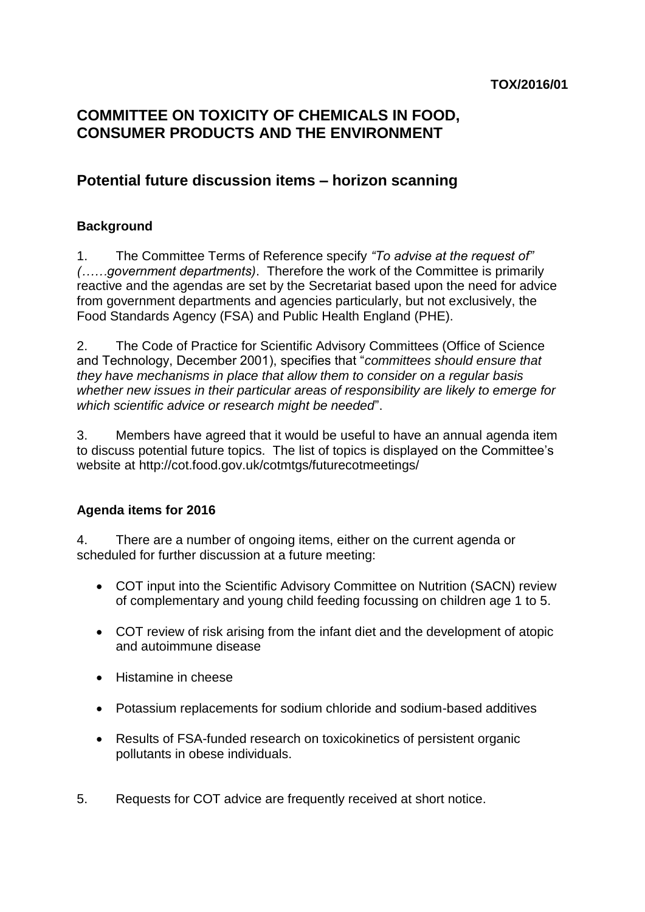# **COMMITTEE ON TOXICITY OF CHEMICALS IN FOOD, CONSUMER PRODUCTS AND THE ENVIRONMENT**

# **Potential future discussion items – horizon scanning**

### **Background**

1. The Committee Terms of Reference specify *"To advise at the request of" (……government departments)*. Therefore the work of the Committee is primarily reactive and the agendas are set by the Secretariat based upon the need for advice from government departments and agencies particularly, but not exclusively, the Food Standards Agency (FSA) and Public Health England (PHE).

2. The Code of Practice for Scientific Advisory Committees (Office of Science and Technology, December 2001), specifies that "*committees should ensure that they have mechanisms in place that allow them to consider on a regular basis whether new issues in their particular areas of responsibility are likely to emerge for which scientific advice or research might be needed*".

3. Members have agreed that it would be useful to have an annual agenda item to discuss potential future topics. The list of topics is displayed on the Committee's website at http://cot.food.gov.uk/cotmtgs/futurecotmeetings/

### **Agenda items for 2016**

4. There are a number of ongoing items, either on the current agenda or scheduled for further discussion at a future meeting:

- COT input into the Scientific Advisory Committee on Nutrition (SACN) review of complementary and young child feeding focussing on children age 1 to 5.
- COT review of risk arising from the infant diet and the development of atopic and autoimmune disease
- Histamine in cheese
- Potassium replacements for sodium chloride and sodium-based additives
- Results of FSA-funded research on toxicokinetics of persistent organic pollutants in obese individuals.
- 5. Requests for COT advice are frequently received at short notice.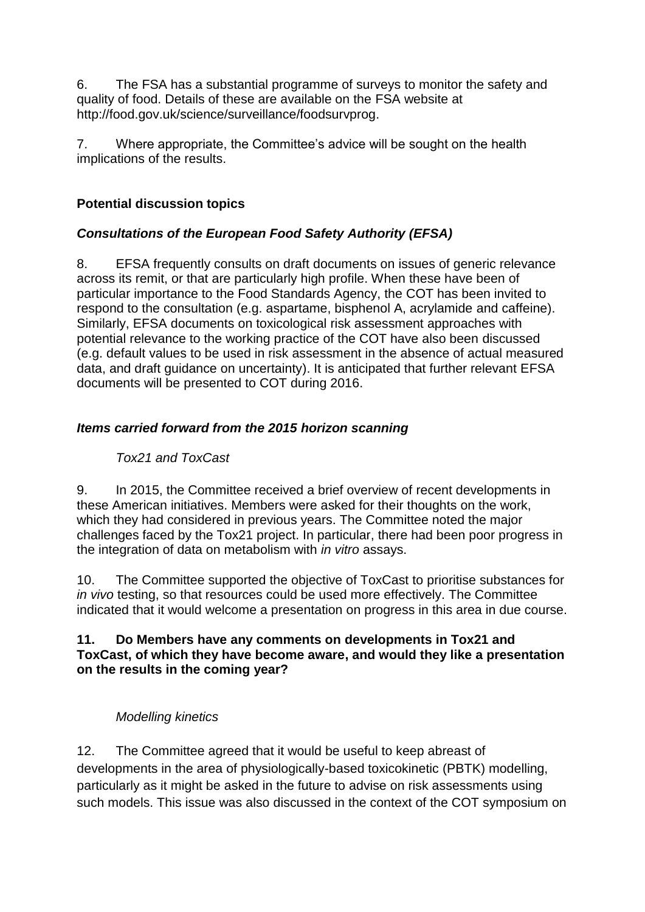6. The FSA has a substantial programme of surveys to monitor the safety and quality of food. Details of these are available on the FSA website at [http://food.gov.uk/science/surveillance/foodsurvprog.](http://food.gov.uk/science/surveillance/foodsurvprog)

7. Where appropriate, the Committee's advice will be sought on the health implications of the results.

### **Potential discussion topics**

### *Consultations of the European Food Safety Authority (EFSA)*

8. EFSA frequently consults on draft documents on issues of generic relevance across its remit, or that are particularly high profile. When these have been of particular importance to the Food Standards Agency, the COT has been invited to respond to the consultation (e.g. aspartame, bisphenol A, acrylamide and caffeine). Similarly, EFSA documents on toxicological risk assessment approaches with potential relevance to the working practice of the COT have also been discussed (e.g. default values to be used in risk assessment in the absence of actual measured data, and draft guidance on uncertainty). It is anticipated that further relevant EFSA documents will be presented to COT during 2016.

### *Items carried forward from the 2015 horizon scanning*

# *Tox21 and ToxCast*

9. In 2015, the Committee received a brief overview of recent developments in these American initiatives. Members were asked for their thoughts on the work, which they had considered in previous years. The Committee noted the major challenges faced by the Tox21 project. In particular, there had been poor progress in the integration of data on metabolism with *in vitro* assays.

10. The Committee supported the objective of ToxCast to prioritise substances for *in vivo* testing, so that resources could be used more effectively. The Committee indicated that it would welcome a presentation on progress in this area in due course.

#### **11. Do Members have any comments on developments in Tox21 and ToxCast, of which they have become aware, and would they like a presentation on the results in the coming year?**

### *Modelling kinetics*

12. The Committee agreed that it would be useful to keep abreast of developments in the area of physiologically-based toxicokinetic (PBTK) modelling, particularly as it might be asked in the future to advise on risk assessments using such models. This issue was also discussed in the context of the COT symposium on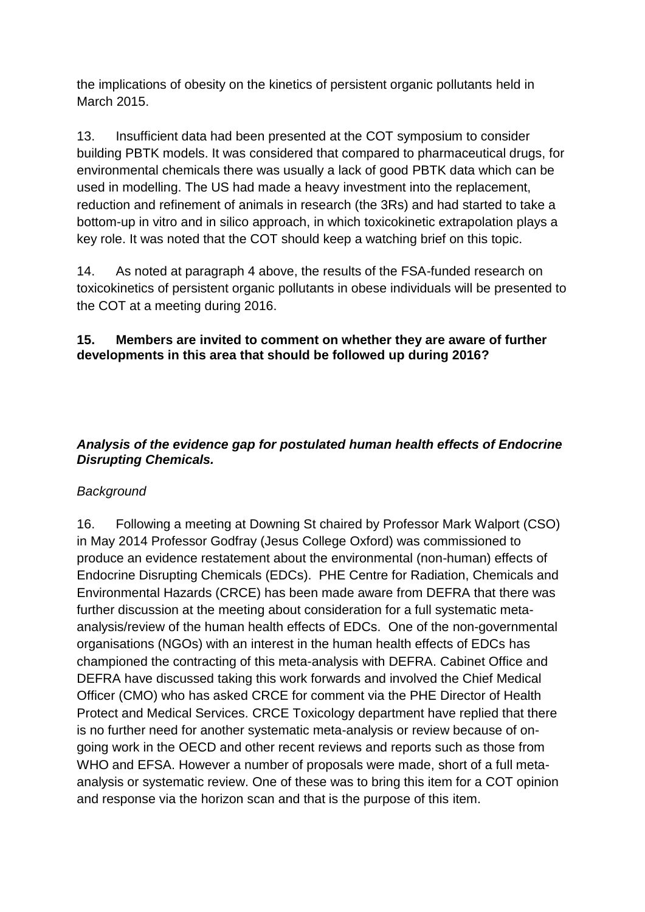the implications of obesity on the kinetics of persistent organic pollutants held in March 2015.

13. Insufficient data had been presented at the COT symposium to consider building PBTK models. It was considered that compared to pharmaceutical drugs, for environmental chemicals there was usually a lack of good PBTK data which can be used in modelling. The US had made a heavy investment into the replacement, reduction and refinement of animals in research (the 3Rs) and had started to take a bottom-up in vitro and in silico approach, in which toxicokinetic extrapolation plays a key role. It was noted that the COT should keep a watching brief on this topic.

14. As noted at paragraph 4 above, the results of the FSA-funded research on toxicokinetics of persistent organic pollutants in obese individuals will be presented to the COT at a meeting during 2016.

### **15. Members are invited to comment on whether they are aware of further developments in this area that should be followed up during 2016?**

### *Analysis of the evidence gap for postulated human health effects of Endocrine Disrupting Chemicals.*

# *Background*

16. Following a meeting at Downing St chaired by Professor Mark Walport (CSO) in May 2014 Professor Godfray (Jesus College Oxford) was commissioned to produce an evidence restatement about the environmental (non-human) effects of Endocrine Disrupting Chemicals (EDCs). PHE Centre for Radiation, Chemicals and Environmental Hazards (CRCE) has been made aware from DEFRA that there was further discussion at the meeting about consideration for a full systematic metaanalysis/review of the human health effects of EDCs. One of the non-governmental organisations (NGOs) with an interest in the human health effects of EDCs has championed the contracting of this meta-analysis with DEFRA. Cabinet Office and DEFRA have discussed taking this work forwards and involved the Chief Medical Officer (CMO) who has asked CRCE for comment via the PHE Director of Health Protect and Medical Services. CRCE Toxicology department have replied that there is no further need for another systematic meta-analysis or review because of ongoing work in the OECD and other recent reviews and reports such as those from WHO and EFSA. However a number of proposals were made, short of a full metaanalysis or systematic review. One of these was to bring this item for a COT opinion and response via the horizon scan and that is the purpose of this item.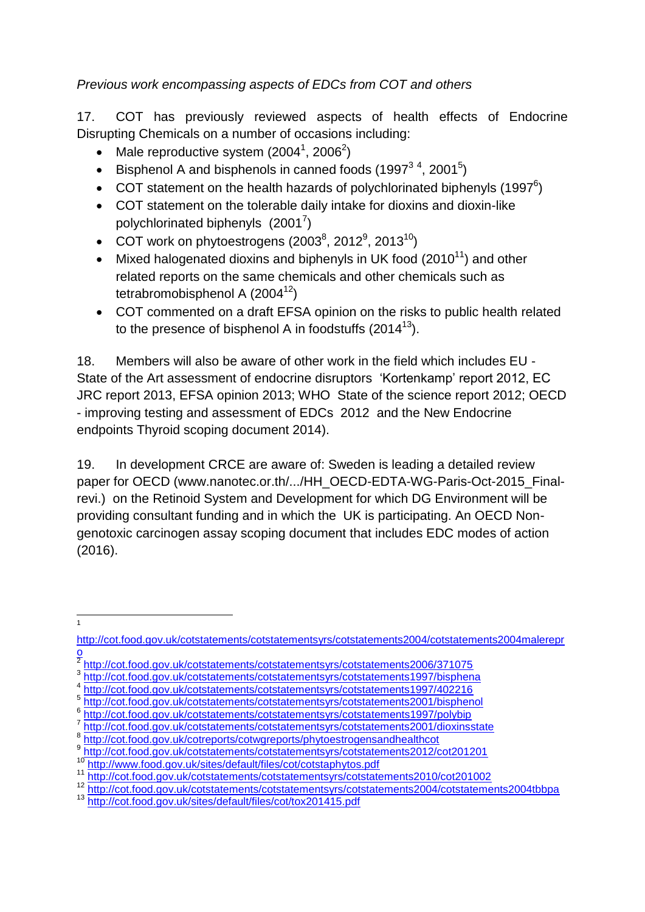*Previous work encompassing aspects of EDCs from COT and others*

17. COT has previously reviewed aspects of health effects of Endocrine Disrupting Chemicals on a number of occasions including:

- Male reproductive system (2004<sup>1</sup>, 2006<sup>2</sup>)
- Eisphenol A and bisphenols in canned foods  $(1997^3, 4, 2001^5)$
- COT statement on the health hazards of polychlorinated biphenyls (1997 $6$ )
- COT statement on the tolerable daily intake for dioxins and dioxin-like polychlorinated biphenyls  $(2001^7)$
- COT work on phytoestrogens (2003 $^8$ , 2012 $^9$ , 2013 $^{10}$ )
- Mixed halogenated dioxins and biphenyls in UK food  $(2010^{11})$  and other related reports on the same chemicals and other chemicals such as tetrabromobisphenol A  $(2004^{12})$
- COT commented on a draft EFSA opinion on the risks to public health related to the presence of bisphenol A in foodstuffs  $(2014^{13})$ .

18. Members will also be aware of other work in the field which includes EU - State of the Art assessment of endocrine disruptors 'Kortenkamp' report 2012, EC JRC report 2013, EFSA opinion 2013; WHO State of the science report 2012; OECD - improving testing and assessment of EDCs 2012 and the New Endocrine endpoints Thyroid scoping document 2014).

19. In development CRCE are aware of: Sweden is leading a detailed review paper for OECD (www.nanotec.or.th/.../HH\_OECD-EDTA-WG-Paris-Oct-2015\_Finalrevi.) on the Retinoid System and Development for which DG Environment will be providing consultant funding and in which the UK is participating. An OECD Nongenotoxic carcinogen assay scoping document that includes EDC modes of action (2016).

<http://cot.food.gov.uk/cotstatements/cotstatementsyrs/cotstatements1997/402216>

 $\frac{1}{1}$ 

[http://cot.food.gov.uk/cotstatements/cotstatementsyrs/cotstatements2004/cotstatements2004malerepr](http://cot.food.gov.uk/cotstatements/cotstatementsyrs/cotstatements2004/cotstatements2004malerepro)  $\frac{0}{2}$ 

<http://cot.food.gov.uk/cotstatements/cotstatementsyrs/cotstatements2006/371075>

<sup>&</sup>lt;sup>3</sup><br><http://cot.food.gov.uk/cotstatements/cotstatementsyrs/cotstatements1997/bisphena><br>4 http://cot.food.gov.uk/estatetements/cotstatements/re/catatements1007/402216

<sup>5</sup> <http://cot.food.gov.uk/cotstatements/cotstatementsyrs/cotstatements2001/bisphenol>

<sup>6</sup> <http://cot.food.gov.uk/cotstatements/cotstatementsyrs/cotstatements1997/polybip>

<sup>7</sup> <http://cot.food.gov.uk/cotstatements/cotstatementsyrs/cotstatements2001/dioxinsstate>

<sup>8</sup> <http://cot.food.gov.uk/cotreports/cotwgreports/phytoestrogensandhealthcot>

<sup>9</sup> <http://cot.food.gov.uk/cotstatements/cotstatementsyrs/cotstatements2012/cot201201>

<sup>10</sup> <http://www.food.gov.uk/sites/default/files/cot/cotstaphytos.pdf>

<sup>11</sup> <http://cot.food.gov.uk/cotstatements/cotstatementsyrs/cotstatements2010/cot201002>

<sup>12</sup> <http://cot.food.gov.uk/cotstatements/cotstatementsyrs/cotstatements2004/cotstatements2004tbbpa>

<sup>13</sup> <http://cot.food.gov.uk/sites/default/files/cot/tox201415.pdf>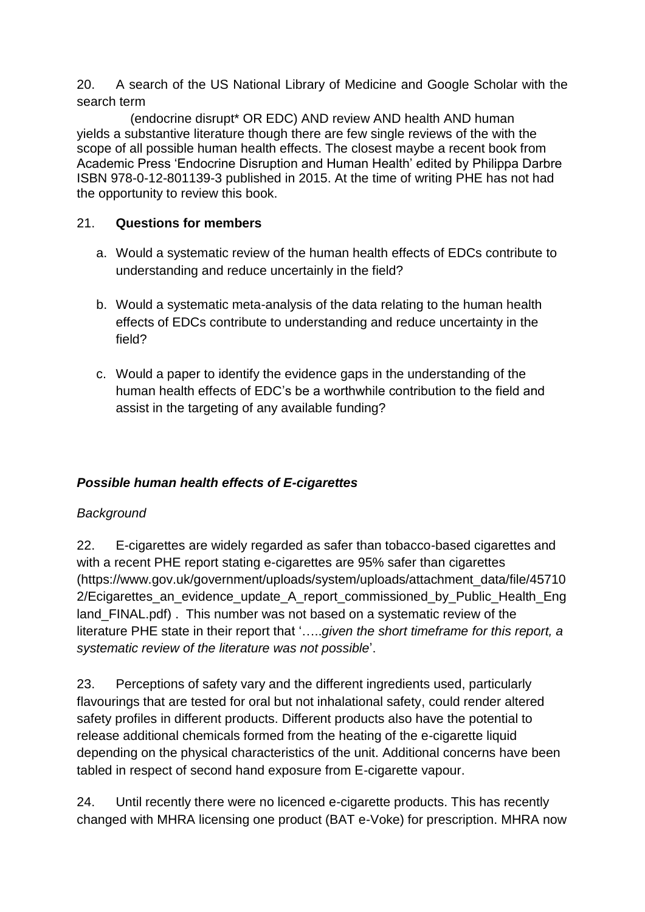20. A search of the US National Library of Medicine and Google Scholar with the search term

(endocrine disrupt\* OR EDC) AND review AND health AND human yields a substantive literature though there are few single reviews of the with the scope of all possible human health effects. The closest maybe a recent book from Academic Press 'Endocrine Disruption and Human Health' edited by Philippa Darbre ISBN 978-0-12-801139-3 published in 2015. At the time of writing PHE has not had the opportunity to review this book.

# 21. **Questions for members**

- a. Would a systematic review of the human health effects of EDCs contribute to understanding and reduce uncertainly in the field?
- b. Would a systematic meta-analysis of the data relating to the human health effects of EDCs contribute to understanding and reduce uncertainty in the field?
- c. Would a paper to identify the evidence gaps in the understanding of the human health effects of EDC's be a worthwhile contribution to the field and assist in the targeting of any available funding?

# *Possible human health effects of E-cigarettes*

# *Background*

22. E-cigarettes are widely regarded as safer than tobacco-based cigarettes and with a recent PHE report stating e-cigarettes are 95% safer than cigarettes [\(https://www.gov.uk/government/uploads/system/uploads/attachment\\_data/file/45710](https://www.gov.uk/government/uploads/system/uploads/attachment_data/file/457102/Ecigarettes_an_evidence_update_A_report_commissioned_by_Public_Health_England_FINAL.pdf) [2/Ecigarettes\\_an\\_evidence\\_update\\_A\\_report\\_commissioned\\_by\\_Public\\_Health\\_Eng](https://www.gov.uk/government/uploads/system/uploads/attachment_data/file/457102/Ecigarettes_an_evidence_update_A_report_commissioned_by_Public_Health_England_FINAL.pdf) [land\\_FINAL.pdf\)](https://www.gov.uk/government/uploads/system/uploads/attachment_data/file/457102/Ecigarettes_an_evidence_update_A_report_commissioned_by_Public_Health_England_FINAL.pdf) . This number was not based on a systematic review of the literature PHE state in their report that '…..*given the short timeframe for this report, a systematic review of the literature was not possible*'.

23. Perceptions of safety vary and the different ingredients used, particularly flavourings that are tested for oral but not inhalational safety, could render altered safety profiles in different products. Different products also have the potential to release additional chemicals formed from the heating of the e-cigarette liquid depending on the physical characteristics of the unit. Additional concerns have been tabled in respect of second hand exposure from E-cigarette vapour.

24. Until recently there were no licenced e-cigarette products. This has recently changed with MHRA licensing one product (BAT e-Voke) for prescription. MHRA now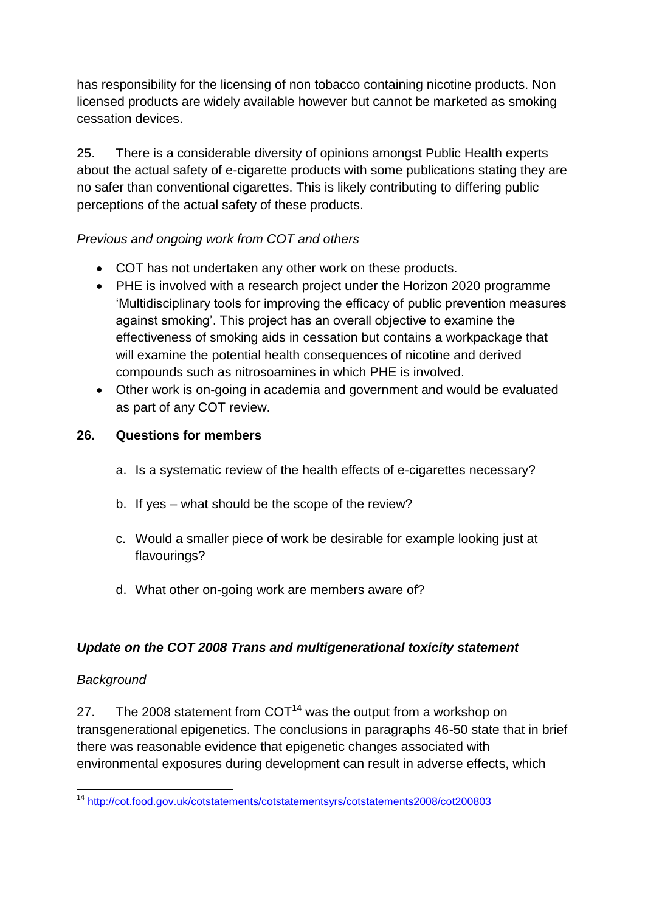has responsibility for the licensing of non tobacco containing nicotine products. Non licensed products are widely available however but cannot be marketed as smoking cessation devices.

25. There is a considerable diversity of opinions amongst Public Health experts about the actual safety of e-cigarette products with some publications stating they are no safer than conventional cigarettes. This is likely contributing to differing public perceptions of the actual safety of these products.

# *Previous and ongoing work from COT and others*

- COT has not undertaken any other work on these products.
- PHE is involved with a research project under the Horizon 2020 programme 'Multidisciplinary tools for improving the efficacy of public prevention measures against smoking'. This project has an overall objective to examine the effectiveness of smoking aids in cessation but contains a workpackage that will examine the potential health consequences of nicotine and derived compounds such as nitrosoamines in which PHE is involved.
- Other work is on-going in academia and government and would be evaluated as part of any COT review.

### **26. Questions for members**

- a. Is a systematic review of the health effects of e-cigarettes necessary?
- b. If yes what should be the scope of the review?
- c. Would a smaller piece of work be desirable for example looking just at flavourings?
- d. What other on-going work are members aware of?

### *Update on the COT 2008 Trans and multigenerational toxicity statement*

### *Background*

27. The 2008 statement from  $COT<sup>14</sup>$  was the output from a workshop on transgenerational epigenetics. The conclusions in paragraphs 46-50 state that in brief there was reasonable evidence that epigenetic changes associated with environmental exposures during development can result in adverse effects, which

 $\overline{a}$ <sup>14</sup> <http://cot.food.gov.uk/cotstatements/cotstatementsyrs/cotstatements2008/cot200803>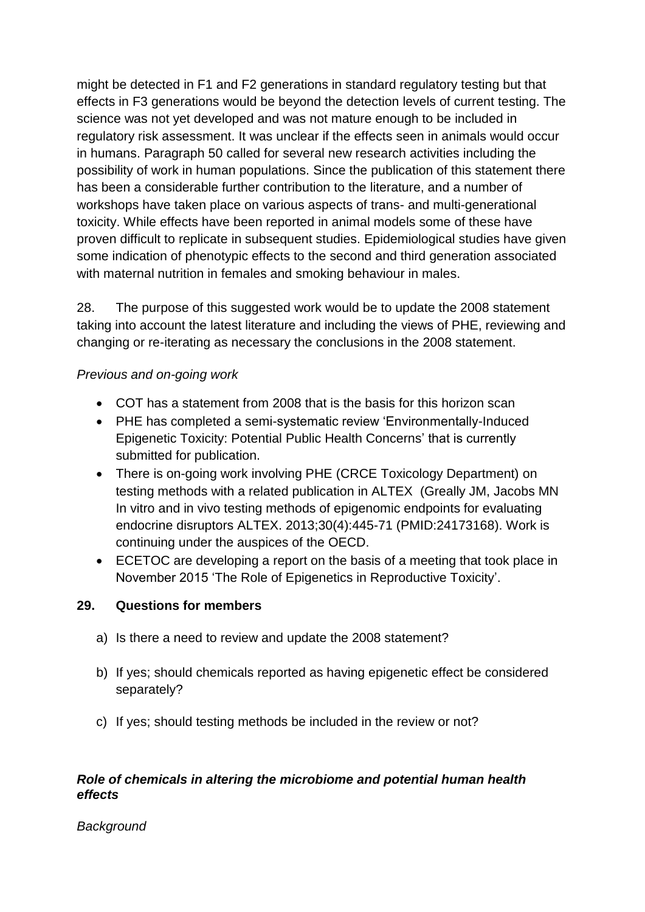might be detected in F1 and F2 generations in standard regulatory testing but that effects in F3 generations would be beyond the detection levels of current testing. The science was not yet developed and was not mature enough to be included in regulatory risk assessment. It was unclear if the effects seen in animals would occur in humans. Paragraph 50 called for several new research activities including the possibility of work in human populations. Since the publication of this statement there has been a considerable further contribution to the literature, and a number of workshops have taken place on various aspects of trans- and multi-generational toxicity. While effects have been reported in animal models some of these have proven difficult to replicate in subsequent studies. Epidemiological studies have given some indication of phenotypic effects to the second and third generation associated with maternal nutrition in females and smoking behaviour in males.

28. The purpose of this suggested work would be to update the 2008 statement taking into account the latest literature and including the views of PHE, reviewing and changing or re-iterating as necessary the conclusions in the 2008 statement.

# *Previous and on-going work*

- COT has a statement from 2008 that is the basis for this horizon scan
- PHE has completed a semi-systematic review 'Environmentally-Induced Epigenetic Toxicity: Potential Public Health Concerns' that is currently submitted for publication.
- There is on-going work involving PHE (CRCE Toxicology Department) on testing methods with a related publication in ALTEX (Greally JM, Jacobs MN In vitro and in vivo testing methods of epigenomic endpoints for evaluating endocrine disruptors [ALTEX.](http://www.ncbi.nlm.nih.gov/pubmed/24173168) 2013;30(4):445-71 (PMID:24173168). Work is continuing under the auspices of the OECD.
- ECETOC are developing a report on the basis of a meeting that took place in November 2015 'The Role of Epigenetics in Reproductive Toxicity'.

# **29. Questions for members**

- a) Is there a need to review and update the 2008 statement?
- b) If yes; should chemicals reported as having epigenetic effect be considered separately?
- c) If yes; should testing methods be included in the review or not?

### *Role of chemicals in altering the microbiome and potential human health effects*

*Background*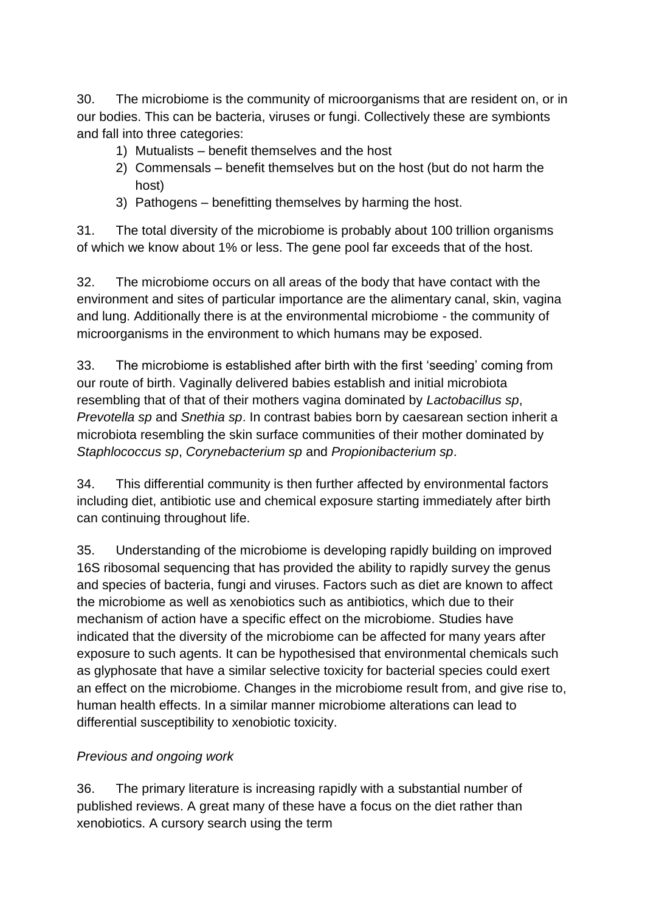30. The microbiome is the community of microorganisms that are resident on, or in our bodies. This can be bacteria, viruses or fungi. Collectively these are symbionts and fall into three categories:

- 1) Mutualists benefit themselves and the host
- 2) Commensals benefit themselves but on the host (but do not harm the host)
- 3) Pathogens benefitting themselves by harming the host.

31. The total diversity of the microbiome is probably about 100 trillion organisms of which we know about 1% or less. The gene pool far exceeds that of the host.

32. The microbiome occurs on all areas of the body that have contact with the environment and sites of particular importance are the alimentary canal, skin, vagina and lung. Additionally there is at the environmental microbiome - the community of microorganisms in the environment to which humans may be exposed.

33. The microbiome is established after birth with the first 'seeding' coming from our route of birth. Vaginally delivered babies establish and initial microbiota resembling that of that of their mothers vagina dominated by *Lactobacillus sp*, *Prevotella sp* and *Snethia sp*. In contrast babies born by caesarean section inherit a microbiota resembling the skin surface communities of their mother dominated by *Staphlococcus sp*, *Corynebacterium sp* and *Propionibacterium sp*.

34. This differential community is then further affected by environmental factors including diet, antibiotic use and chemical exposure starting immediately after birth can continuing throughout life.

35. Understanding of the microbiome is developing rapidly building on improved 16S ribosomal sequencing that has provided the ability to rapidly survey the genus and species of bacteria, fungi and viruses. Factors such as diet are known to affect the microbiome as well as xenobiotics such as antibiotics, which due to their mechanism of action have a specific effect on the microbiome. Studies have indicated that the diversity of the microbiome can be affected for many years after exposure to such agents. It can be hypothesised that environmental chemicals such as glyphosate that have a similar selective toxicity for bacterial species could exert an effect on the microbiome. Changes in the microbiome result from, and give rise to, human health effects. In a similar manner microbiome alterations can lead to differential susceptibility to xenobiotic toxicity.

# *Previous and ongoing work*

36. The primary literature is increasing rapidly with a substantial number of published reviews. A great many of these have a focus on the diet rather than xenobiotics. A cursory search using the term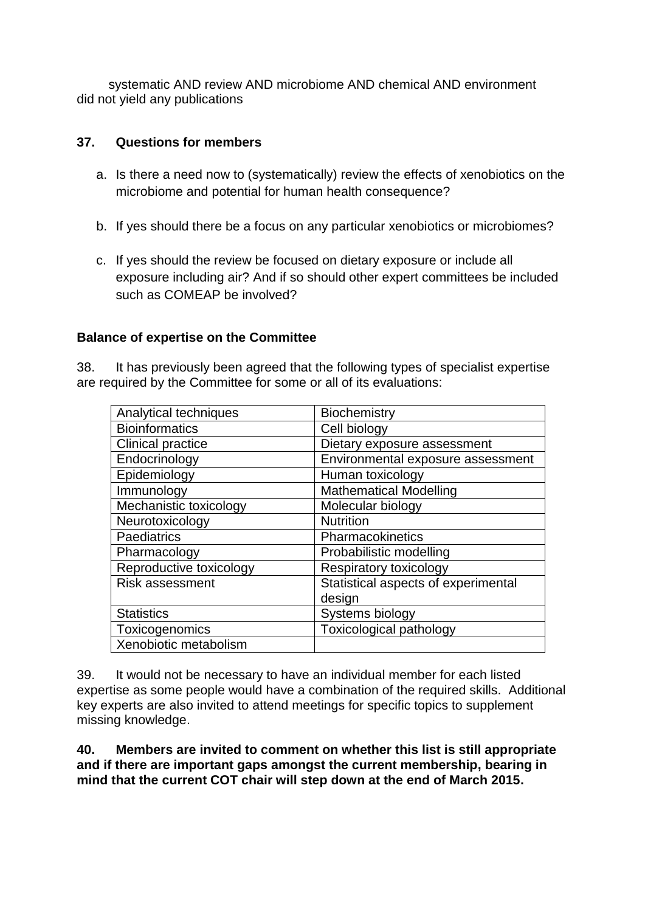systematic AND review AND microbiome AND chemical AND environment did not yield any publications

### **37. Questions for members**

- a. Is there a need now to (systematically) review the effects of xenobiotics on the microbiome and potential for human health consequence?
- b. If yes should there be a focus on any particular xenobiotics or microbiomes?
- c. If yes should the review be focused on dietary exposure or include all exposure including air? And if so should other expert committees be included such as COMEAP be involved?

### **Balance of expertise on the Committee**

38. It has previously been agreed that the following types of specialist expertise are required by the Committee for some or all of its evaluations:

| Analytical techniques    | Biochemistry                        |
|--------------------------|-------------------------------------|
| <b>Bioinformatics</b>    | Cell biology                        |
| <b>Clinical practice</b> | Dietary exposure assessment         |
| Endocrinology            | Environmental exposure assessment   |
| Epidemiology             | Human toxicology                    |
| Immunology               | <b>Mathematical Modelling</b>       |
| Mechanistic toxicology   | Molecular biology                   |
| Neurotoxicology          | <b>Nutrition</b>                    |
| Paediatrics              | Pharmacokinetics                    |
| Pharmacology             | Probabilistic modelling             |
| Reproductive toxicology  | Respiratory toxicology              |
| <b>Risk assessment</b>   | Statistical aspects of experimental |
|                          | design                              |
| <b>Statistics</b>        | Systems biology                     |
| Toxicogenomics           | <b>Toxicological pathology</b>      |
| Xenobiotic metabolism    |                                     |

39. It would not be necessary to have an individual member for each listed expertise as some people would have a combination of the required skills. Additional key experts are also invited to attend meetings for specific topics to supplement missing knowledge.

**40. Members are invited to comment on whether this list is still appropriate and if there are important gaps amongst the current membership, bearing in mind that the current COT chair will step down at the end of March 2015.**